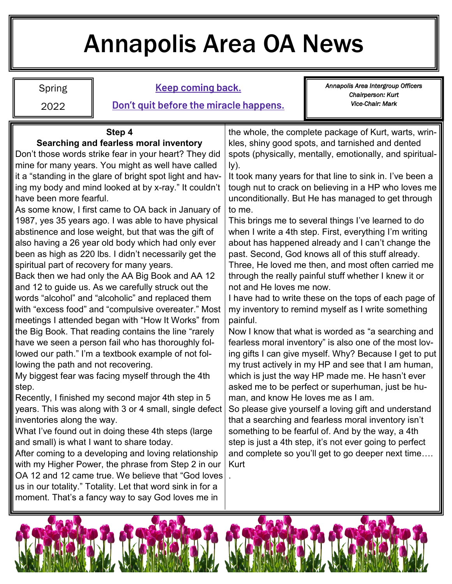# Annapolis Area OA News

Spring 2022

#### **Keep coming back.**

**Don't quit before the miracle happens.** 

*Annapolis Area Intergroup Officers Chairperson: Kurt Vice-Chair: Mark* 

#### **Step 4 Searching and fearless moral inventory**

Don't those words strike fear in your heart? They did mine for many years. You might as well have called it a "standing in the glare of bright spot light and having my body and mind looked at by x-ray." It couldn't have been more fearful.

As some know, I first came to OA back in January of 1987, yes 35 years ago. I was able to have physical abstinence and lose weight, but that was the gift of also having a 26 year old body which had only ever been as high as 220 lbs. I didn't necessarily get the spiritual part of recovery for many years.

Back then we had only the AA Big Book and AA 12 and 12 to guide us. As we carefully struck out the words "alcohol" and "alcoholic" and replaced them with "excess food" and "compulsive overeater." Most meetings I attended began with "How It Works" from the Big Book. That reading contains the line "rarely have we seen a person fail who has thoroughly followed our path." I'm a textbook example of not following the path and not recovering.

My biggest fear was facing myself through the 4th step.

Recently, I finished my second major 4th step in 5 years. This was along with 3 or 4 small, single defect inventories along the way.

What I've found out in doing these 4th steps (large and small) is what I want to share today.

After coming to a developing and loving relationship with my Higher Power, the phrase from Step 2 in our OA 12 and 12 came true. We believe that "God loves us in our totality." Totality. Let that word sink in for a moment. That's a fancy way to say God loves me in

the whole, the complete package of Kurt, warts, wrinkles, shiny good spots, and tarnished and dented spots (physically, mentally, emotionally, and spiritually).

It took many years for that line to sink in. I've been a tough nut to crack on believing in a HP who loves me unconditionally. But He has managed to get through to me.

This brings me to several things I've learned to do when I write a 4th step. First, everything I'm writing about has happened already and I can't change the past. Second, God knows all of this stuff already. Three, He loved me then, and most often carried me through the really painful stuff whether I knew it or not and He loves me now.

I have had to write these on the tops of each page of my inventory to remind myself as I write something painful.

Now I know that what is worded as "a searching and fearless moral inventory" is also one of the most loving gifts I can give myself. Why? Because I get to put my trust actively in my HP and see that I am human, which is just the way HP made me. He hasn't ever asked me to be perfect or superhuman, just be human, and know He loves me as I am.

So please give yourself a loving gift and understand that a searching and fearless moral inventory isn't something to be fearful of. And by the way, a 4th step is just a 4th step, it's not ever going to perfect and complete so you'll get to go deeper next time…. Kurt



.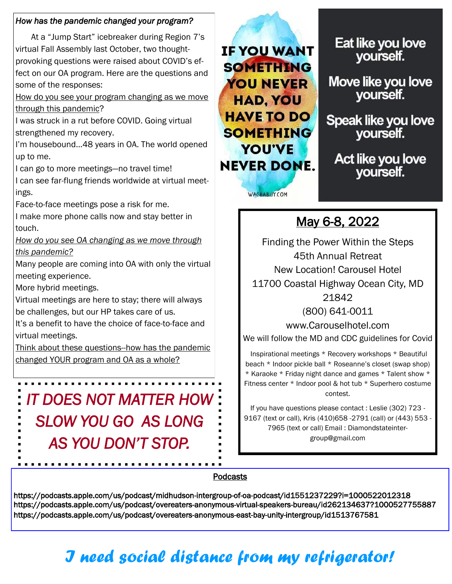#### *How has the pandemic changed your program?*

At a "Jump Start" icebreaker during Region 7's virtual Fall Assembly last October, two thoughtprovoking questions were raised about COVID's effect on our OA program. Here are the questions and some of the responses:

How do you see your program changing as we move through this pandemic?

I was struck in a rut before COVID. Going virtual strengthened my recovery.

I'm housebound…48 years in OA. The world opened up to me.

I can go to more meetings—no travel time!

I can see far-flung friends worldwide at virtual meetings.

Face-to-face meetings pose a risk for me.

I make more phone calls now and stay better in touch.

*How do you see OA changing as we move through this pandemic?* 

Many people are coming into OA with only the virtual meeting experience.

More hybrid meetings.

Virtual meetings are here to stay; there will always be challenges, but our HP takes care of us.

It's a benefit to have the choice of face-to-face and virtual meetings.

Think about these questions--how has the pandemic changed YOUR program and OA as a whole?

*IT DOES NOT MATTER HOW SLOW YOU GO AS LONG AS YOU DON'T STOP.* 

IF YOU WANT **SOMETHING** YOU NEVER HAD, YOU HAVE TO DO SOMETHING YOU'VE NEVER DONE.

WACHABUY.COM

Eat like you love yourself.

Move like you love yourself.

Speak like you love yourself.

Act like you love yourself.

## May 6-8, 2022

Finding the Power Within the Steps 45th Annual Retreat New Location! Carousel Hotel 11700 Coastal Highway Ocean City, MD 21842

(800) 641-0011

www.Carouselhotel.com We will follow the MD and CDC guidelines for Covid

Inspirational meetings \* Recovery workshops \* Beautiful beach \* Indoor pickle ball \* Roseanne's closet (swap shop) \* Karaoke \* Friday night dance and games \* Talent show \* Fitness center \* Indoor pool & hot tub \* Superhero costume contest.

If you have questions please contact : Leslie (302) 723 - 9167 (text or call), Kris (410)658 -2791 (call) or (443) 553 - 7965 (text or call) Email : Diamondstateintergroup@gmail.com

#### Podcasts

https://podcasts.apple.com/us/podcast/midhudson-intergroup-of-oa-podcast/id1551237229?i=1000522012318 https://podcasts.apple.com/us/podcast/overeaters-anonymous-virtual-speakers-bureau/id262134637?1000527755887 https://podcasts.apple.com/us/podcast/overeaters-anonymous-east-bay-unity-intergroup/id1513767581

# *I need social distance from my refrigerator!*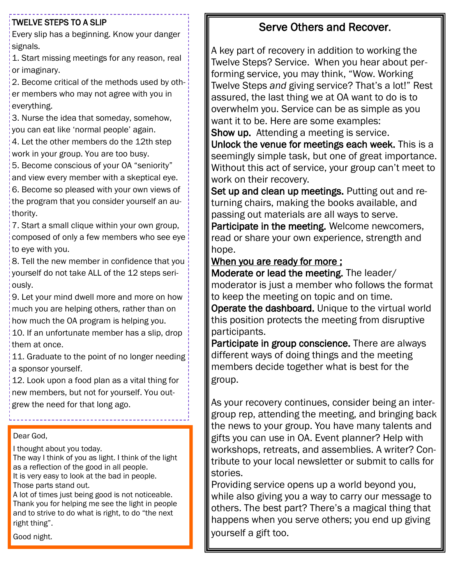#### TWELVE STEPS TO A SLIP

Every slip has a beginning. Know your danger signals.

1. Start missing meetings for any reason, real or imaginary.

2. Become critical of the methods used by other members who may not agree with you in everything.

3. Nurse the idea that someday, somehow, you can eat like 'normal people' again.

4. Let the other members do the 12th step work in your group. You are too busy.

5. Become conscious of your OA "seniority" and view every member with a skeptical eye.

6. Become so pleased with your own views of the program that you consider yourself an authority.

7. Start a small clique within your own group, composed of only a few members who see eye to eye with you.

8. Tell the new member in confidence that you yourself do not take ALL of the 12 steps seriously.

9. Let your mind dwell more and more on how much you are helping others, rather than on how much the OA program is helping you.

10. If an unfortunate member has a slip, drop them at once.

11. Graduate to the point of no longer needing a sponsor yourself.

12. Look upon a food plan as a vital thing for new members, but not for yourself. You outgrew the need for that long ago.

#### Dear God,

I thought about you today.

The way I think of you as light. I think of the light as a reflection of the good in all people. It is very easy to look at the bad in people.

Those parts stand out.

A lot of times just being good is not noticeable. Thank you for helping me see the light in people and to strive to do what is right, to do "the next right thing".

Good night.

### Serve Others and Recover.

A key part of recovery in addition to working the Twelve Steps? Service. When you hear about performing service, you may think, "Wow. Working Twelve Steps *and* giving service? That's a lot!" Rest assured, the last thing we at OA want to do is to overwhelm you. Service can be as simple as you want it to be. Here are some examples:

Show up. Attending a meeting is service.

Unlock the venue for meetings each week. This is a seemingly simple task, but one of great importance. Without this act of service, your group can't meet to work on their recovery.

Set up and clean up meetings. Putting out and returning chairs, making the books available, and passing out materials are all ways to serve.

Participate in the meeting. Welcome newcomers, read or share your own experience, strength and hope.

#### When you are ready for more ;

Moderate or lead the meeting. The leader/ moderator is just a member who follows the format to keep the meeting on topic and on time.

Operate the dashboard. Unique to the virtual world this position protects the meeting from disruptive participants.

Participate in group conscience. There are always different ways of doing things and the meeting members decide together what is best for the group.

As your recovery continues, consider being an intergroup rep, attending the meeting, and bringing back the news to your group. You have many talents and gifts you can use in OA. Event planner? Help with workshops, retreats, and assemblies. A writer? Contribute to your local newsletter or submit to calls for stories.

Providing service opens up a world beyond you, while also giving you a way to carry our message to others. The best part? There's a magical thing that happens when you serve others; you end up giving yourself a gift too.